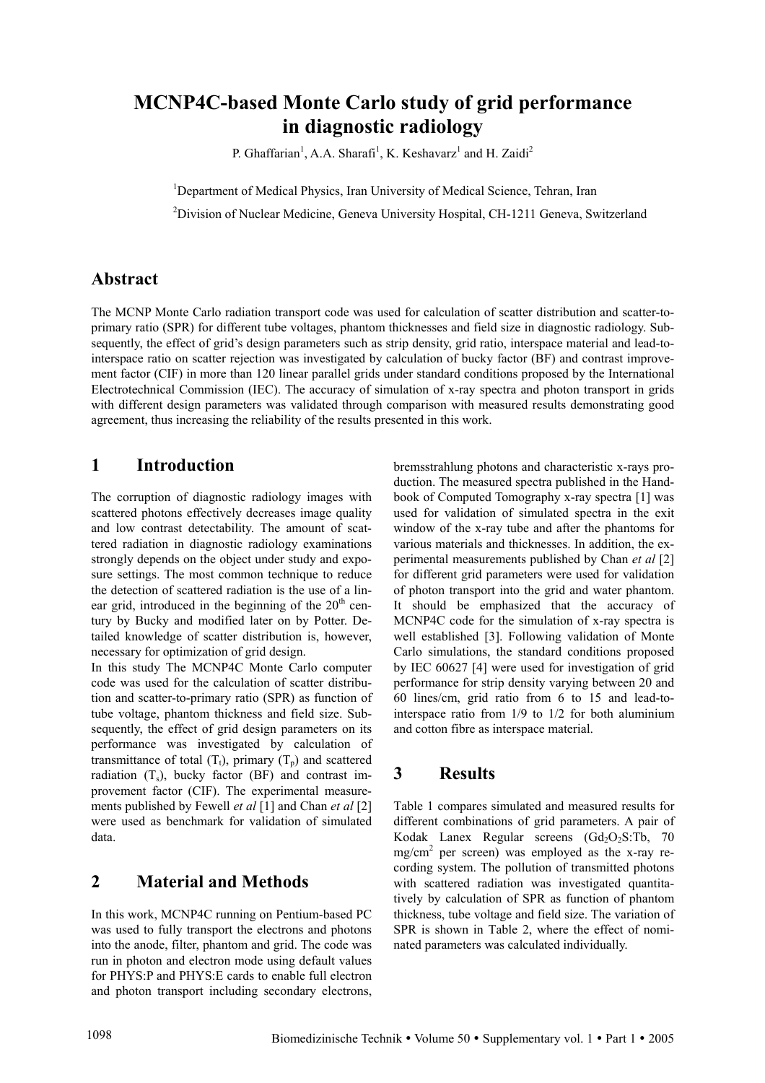# **MCNP4C-based Monte Carlo study of grid performance in diagnostic radiology**

P. Ghaffarian<sup>1</sup>, A.A. Sharafi<sup>1</sup>, K. Keshavarz<sup>1</sup> and H. Zaidi<sup>2</sup>

<sup>1</sup>Department of Medical Physics, Iran University of Medical Science, Tehran, Iran

<sup>2</sup>Division of Nuclear Medicine, Geneva University Hospital, CH-1211 Geneva, Switzerland

## **Abstract**

The MCNP Monte Carlo radiation transport code was used for calculation of scatter distribution and scatter-toprimary ratio (SPR) for different tube voltages, phantom thicknesses and field size in diagnostic radiology. Subsequently, the effect of grid's design parameters such as strip density, grid ratio, interspace material and lead-tointerspace ratio on scatter rejection was investigated by calculation of bucky factor (BF) and contrast improvement factor (CIF) in more than 120 linear parallel grids under standard conditions proposed by the International Electrotechnical Commission (IEC). The accuracy of simulation of x-ray spectra and photon transport in grids with different design parameters was validated through comparison with measured results demonstrating good agreement, thus increasing the reliability of the results presented in this work.

### **1 Introduction**

The corruption of diagnostic radiology images with scattered photons effectively decreases image quality and low contrast detectability. The amount of scattered radiation in diagnostic radiology examinations strongly depends on the object under study and exposure settings. The most common technique to reduce the detection of scattered radiation is the use of a linear grid, introduced in the beginning of the  $20<sup>th</sup>$  century by Bucky and modified later on by Potter. Detailed knowledge of scatter distribution is, however, necessary for optimization of grid design.

In this study The MCNP4C Monte Carlo computer code was used for the calculation of scatter distribution and scatter-to-primary ratio (SPR) as function of tube voltage, phantom thickness and field size. Subsequently, the effect of grid design parameters on its performance was investigated by calculation of transmittance of total  $(T_t)$ , primary  $(T_p)$  and scattered radiation  $(T<sub>s</sub>)$ , bucky factor  $(BF)$  and contrast improvement factor (CIF). The experimental measurements published by Fewell *et al* [1] and Chan *et al* [2] were used as benchmark for validation of simulated data.

### **2 Material and Methods**

In this work, MCNP4C running on Pentium-based PC was used to fully transport the electrons and photons into the anode, filter, phantom and grid. The code was run in photon and electron mode using default values for PHYS:P and PHYS:E cards to enable full electron and photon transport including secondary electrons, bremsstrahlung photons and characteristic x-rays production. The measured spectra published in the Handbook of Computed Tomography x-ray spectra [1] was used for validation of simulated spectra in the exit window of the x-ray tube and after the phantoms for various materials and thicknesses. In addition, the experimental measurements published by Chan *et al* [2] for different grid parameters were used for validation of photon transport into the grid and water phantom. It should be emphasized that the accuracy of MCNP4C code for the simulation of x-ray spectra is well established [3]. Following validation of Monte Carlo simulations, the standard conditions proposed by IEC 60627 [4] were used for investigation of grid performance for strip density varying between 20 and 60 lines/cm, grid ratio from 6 to 15 and lead-tointerspace ratio from 1/9 to 1/2 for both aluminium and cotton fibre as interspace material.

## **3 Results**

Table 1 compares simulated and measured results for different combinations of grid parameters. A pair of Kodak Lanex Regular screens  $(Gd_2O_2S:Tb, 70$  $mg/cm<sup>2</sup>$  per screen) was employed as the x-ray recording system. The pollution of transmitted photons with scattered radiation was investigated quantitatively by calculation of SPR as function of phantom thickness, tube voltage and field size. The variation of SPR is shown in Table 2, where the effect of nominated parameters was calculated individually.